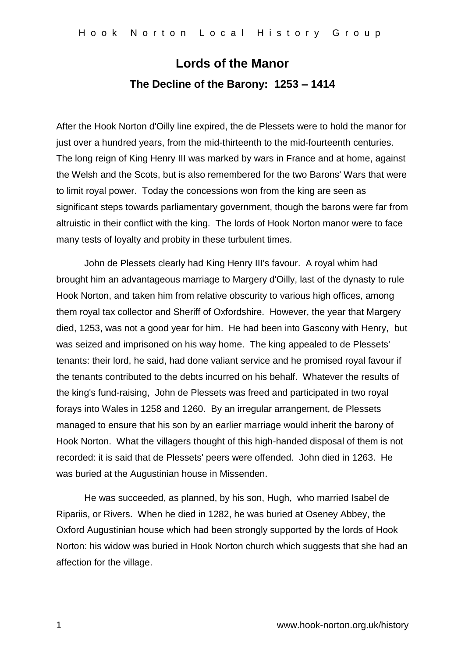## **Lords of the Manor The Decline of the Barony: 1253 – 1414**

After the Hook Norton d'Oilly line expired, the de Plessets were to hold the manor for just over a hundred years, from the mid-thirteenth to the mid-fourteenth centuries. The long reign of King Henry III was marked by wars in France and at home, against the Welsh and the Scots, but is also remembered for the two Barons' Wars that were to limit royal power. Today the concessions won from the king are seen as significant steps towards parliamentary government, though the barons were far from altruistic in their conflict with the king. The lords of Hook Norton manor were to face many tests of loyalty and probity in these turbulent times.

John de Plessets clearly had King Henry III's favour. A royal whim had brought him an advantageous marriage to Margery d'Oilly, last of the dynasty to rule Hook Norton, and taken him from relative obscurity to various high offices, among them royal tax collector and Sheriff of Oxfordshire. However, the year that Margery died, 1253, was not a good year for him. He had been into Gascony with Henry, but was seized and imprisoned on his way home. The king appealed to de Plessets' tenants: their lord, he said, had done valiant service and he promised royal favour if the tenants contributed to the debts incurred on his behalf. Whatever the results of the king's fund-raising, John de Plessets was freed and participated in two royal forays into Wales in 1258 and 1260. By an irregular arrangement, de Plessets managed to ensure that his son by an earlier marriage would inherit the barony of Hook Norton. What the villagers thought of this high-handed disposal of them is not recorded: it is said that de Plessets' peers were offended. John died in 1263. He was buried at the Augustinian house in Missenden.

He was succeeded, as planned, by his son, Hugh, who married Isabel de Ripariis, or Rivers. When he died in 1282, he was buried at Oseney Abbey, the Oxford Augustinian house which had been strongly supported by the lords of Hook Norton: his widow was buried in Hook Norton church which suggests that she had an affection for the village.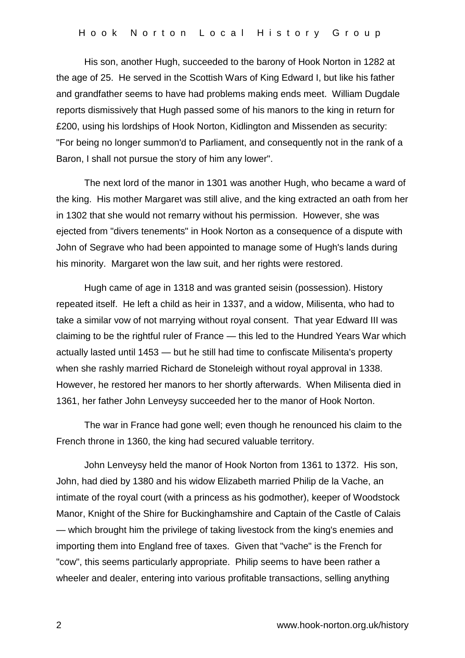His son, another Hugh, succeeded to the barony of Hook Norton in 1282 at the age of 25. He served in the Scottish Wars of King Edward I, but like his father and grandfather seems to have had problems making ends meet. William Dugdale reports dismissively that Hugh passed some of his manors to the king in return for £200, using his lordships of Hook Norton, Kidlington and Missenden as security: "For being no longer summon'd to Parliament, and consequently not in the rank of a Baron, I shall not pursue the story of him any lower".

The next lord of the manor in 1301 was another Hugh, who became a ward of the king. His mother Margaret was still alive, and the king extracted an oath from her in 1302 that she would not remarry without his permission. However, she was ejected from "divers tenements" in Hook Norton as a consequence of a dispute with John of Segrave who had been appointed to manage some of Hugh's lands during his minority. Margaret won the law suit, and her rights were restored.

Hugh came of age in 1318 and was granted seisin (possession). History repeated itself. He left a child as heir in 1337, and a widow, Milisenta, who had to take a similar vow of not marrying without royal consent. That year Edward III was claiming to be the rightful ruler of France — this led to the Hundred Years War which actually lasted until 1453 — but he still had time to confiscate Milisenta's property when she rashly married Richard de Stoneleigh without royal approval in 1338. However, he restored her manors to her shortly afterwards. When Milisenta died in 1361, her father John Lenveysy succeeded her to the manor of Hook Norton.

The war in France had gone well; even though he renounced his claim to the French throne in 1360, the king had secured valuable territory.

John Lenveysy held the manor of Hook Norton from 1361 to 1372. His son, John, had died by 1380 and his widow Elizabeth married Philip de la Vache, an intimate of the royal court (with a princess as his godmother), keeper of Woodstock Manor, Knight of the Shire for Buckinghamshire and Captain of the Castle of Calais — which brought him the privilege of taking livestock from the king's enemies and importing them into England free of taxes. Given that "vache" is the French for "cow", this seems particularly appropriate. Philip seems to have been rather a wheeler and dealer, entering into various profitable transactions, selling anything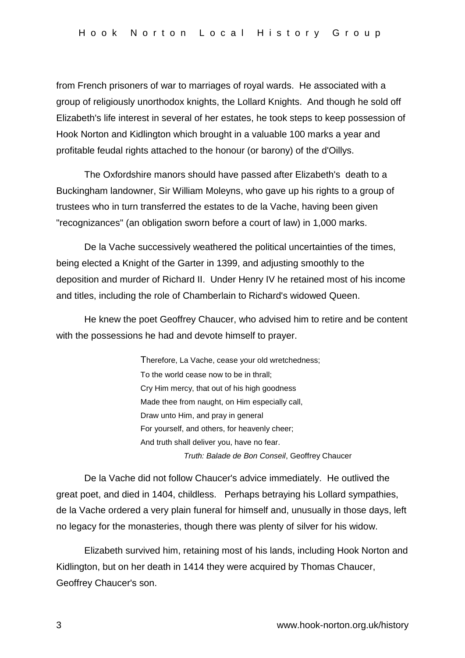from French prisoners of war to marriages of royal wards. He associated with a group of religiously unorthodox knights, the Lollard Knights. And though he sold off Elizabeth's life interest in several of her estates, he took steps to keep possession of Hook Norton and Kidlington which brought in a valuable 100 marks a year and profitable feudal rights attached to the honour (or barony) of the d'Oillys.

The Oxfordshire manors should have passed after Elizabeth's death to a Buckingham landowner, Sir William Moleyns, who gave up his rights to a group of trustees who in turn transferred the estates to de la Vache, having been given "recognizances" (an obligation sworn before a court of law) in 1,000 marks.

De la Vache successively weathered the political uncertainties of the times, being elected a Knight of the Garter in 1399, and adjusting smoothly to the deposition and murder of Richard II. Under Henry IV he retained most of his income and titles, including the role of Chamberlain to Richard's widowed Queen.

He knew the poet Geoffrey Chaucer, who advised him to retire and be content with the possessions he had and devote himself to prayer.

> Therefore, La Vache, cease your old wretchedness; To the world cease now to be in thrall; Cry Him mercy, that out of his high goodness Made thee from naught, on Him especially call, Draw unto Him, and pray in general For yourself, and others, for heavenly cheer; And truth shall deliver you, have no fear. *Truth: Balade de Bon Conseil*, Geoffrey Chaucer

De la Vache did not follow Chaucer's advice immediately. He outlived the great poet, and died in 1404, childless. Perhaps betraying his Lollard sympathies, de la Vache ordered a very plain funeral for himself and, unusually in those days, left no legacy for the monasteries, though there was plenty of silver for his widow.

Elizabeth survived him, retaining most of his lands, including Hook Norton and Kidlington, but on her death in 1414 they were acquired by Thomas Chaucer, Geoffrey Chaucer's son.